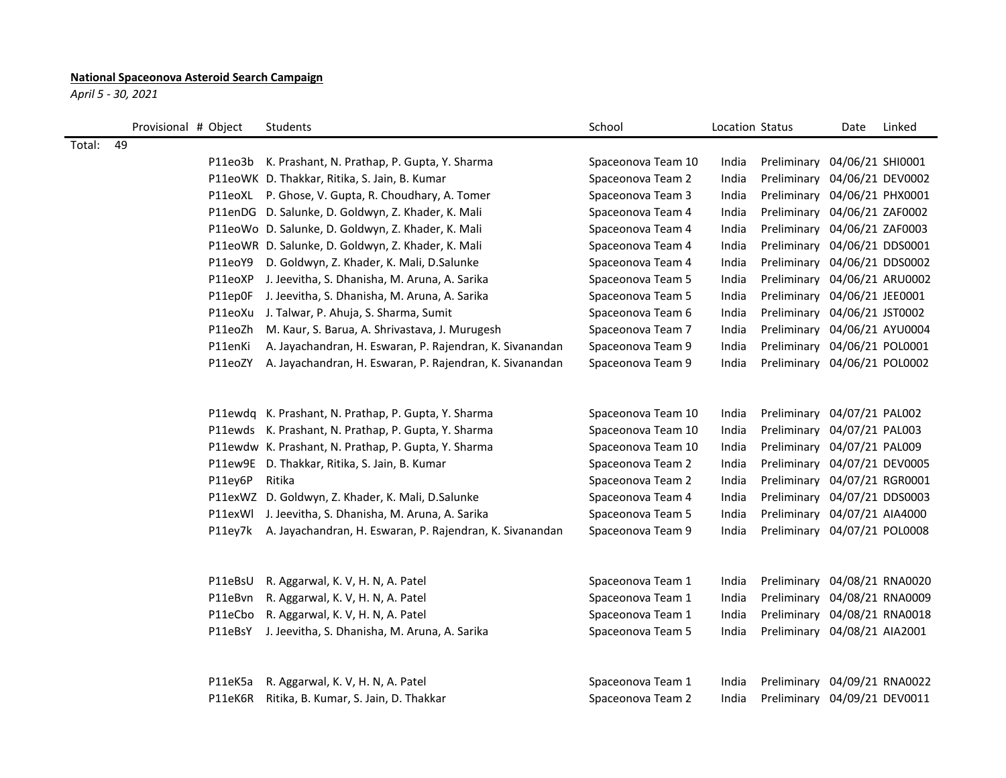## **National Spaceonova Asteroid Search Campaign**

*April 5 - 30, 2021*

|        | Provisional # Object | Students                                                 | School             | Location Status |                              | Date             | Linked |
|--------|----------------------|----------------------------------------------------------|--------------------|-----------------|------------------------------|------------------|--------|
| Total: | 49                   |                                                          |                    |                 |                              |                  |        |
|        |                      | P11eo3b K. Prashant, N. Prathap, P. Gupta, Y. Sharma     | Spaceonova Team 10 | India           | Preliminary 04/06/21 SHI0001 |                  |        |
|        |                      | P11eoWK D. Thakkar, Ritika, S. Jain, B. Kumar            | Spaceonova Team 2  | India           | Preliminary                  | 04/06/21 DEV0002 |        |
|        |                      | P11eoXL P. Ghose, V. Gupta, R. Choudhary, A. Tomer       | Spaceonova Team 3  | India           | Preliminary 04/06/21 PHX0001 |                  |        |
|        |                      | P11enDG D. Salunke, D. Goldwyn, Z. Khader, K. Mali       | Spaceonova Team 4  | India           | Preliminary 04/06/21 ZAF0002 |                  |        |
|        |                      | P11eoWo D. Salunke, D. Goldwyn, Z. Khader, K. Mali       | Spaceonova Team 4  | India           | Preliminary 04/06/21 ZAF0003 |                  |        |
|        |                      | P11eoWR D. Salunke, D. Goldwyn, Z. Khader, K. Mali       | Spaceonova Team 4  | India           | Preliminary 04/06/21 DDS0001 |                  |        |
|        | P11eoY9              | D. Goldwyn, Z. Khader, K. Mali, D.Salunke                | Spaceonova Team 4  | India           | Preliminary                  | 04/06/21 DDS0002 |        |
|        | P11eoXP              | J. Jeevitha, S. Dhanisha, M. Aruna, A. Sarika            | Spaceonova Team 5  | India           | Preliminary                  | 04/06/21 ARU0002 |        |
|        | P11ep0F              | J. Jeevitha, S. Dhanisha, M. Aruna, A. Sarika            | Spaceonova Team 5  | India           | Preliminary 04/06/21 JEE0001 |                  |        |
|        | P11eoXu              | J. Talwar, P. Ahuja, S. Sharma, Sumit                    | Spaceonova Team 6  | India           | Preliminary 04/06/21 JST0002 |                  |        |
|        | P11eoZh              | M. Kaur, S. Barua, A. Shrivastava, J. Murugesh           | Spaceonova Team 7  | India           | Preliminary 04/06/21 AYU0004 |                  |        |
|        | P11enKi              | A. Jayachandran, H. Eswaran, P. Rajendran, K. Sivanandan | Spaceonova Team 9  | India           | Preliminary 04/06/21 POL0001 |                  |        |
|        | P11eoZY              | A. Jayachandran, H. Eswaran, P. Rajendran, K. Sivanandan | Spaceonova Team 9  | India           | Preliminary 04/06/21 POL0002 |                  |        |
|        |                      |                                                          |                    |                 |                              |                  |        |
|        |                      | P11ewdq K. Prashant, N. Prathap, P. Gupta, Y. Sharma     | Spaceonova Team 10 | India           | Preliminary 04/07/21 PAL002  |                  |        |
|        | P11ewds              | K. Prashant, N. Prathap, P. Gupta, Y. Sharma             | Spaceonova Team 10 | India           | Preliminary 04/07/21 PAL003  |                  |        |
|        |                      | P11ewdw K. Prashant, N. Prathap, P. Gupta, Y. Sharma     | Spaceonova Team 10 | India           | Preliminary 04/07/21 PAL009  |                  |        |
|        |                      | P11ew9E D. Thakkar, Ritika, S. Jain, B. Kumar            | Spaceonova Team 2  | India           | Preliminary 04/07/21 DEV0005 |                  |        |
|        | P11ey6P              | Ritika                                                   | Spaceonova Team 2  | India           | Preliminary 04/07/21 RGR0001 |                  |        |
|        | P11exWZ              | D. Goldwyn, Z. Khader, K. Mali, D.Salunke                | Spaceonova Team 4  | India           | Preliminary 04/07/21 DDS0003 |                  |        |
|        | P11exWl              | J. Jeevitha, S. Dhanisha, M. Aruna, A. Sarika            | Spaceonova Team 5  | India           | Preliminary 04/07/21 AIA4000 |                  |        |
|        | P11ey7k              | A. Jayachandran, H. Eswaran, P. Rajendran, K. Sivanandan | Spaceonova Team 9  | India           | Preliminary 04/07/21 POL0008 |                  |        |
|        |                      |                                                          |                    |                 |                              |                  |        |
|        | P11eBsU              | R. Aggarwal, K. V, H. N, A. Patel                        | Spaceonova Team 1  | India           | Preliminary 04/08/21 RNA0020 |                  |        |
|        | P11eBvn              | R. Aggarwal, K. V, H. N, A. Patel                        | Spaceonova Team 1  | India           | Preliminary 04/08/21 RNA0009 |                  |        |
|        | P11eCbo              | R. Aggarwal, K. V, H. N, A. Patel                        | Spaceonova Team 1  | India           | Preliminary 04/08/21 RNA0018 |                  |        |
|        | P11eBsY              | J. Jeevitha, S. Dhanisha, M. Aruna, A. Sarika            | Spaceonova Team 5  | India           | Preliminary 04/08/21 AIA2001 |                  |        |
|        |                      |                                                          |                    |                 |                              |                  |        |
|        | P11eK5a              | R. Aggarwal, K. V, H. N, A. Patel                        | Spaceonova Team 1  | India           | Preliminary                  | 04/09/21 RNA0022 |        |
|        | P11eK6R              | Ritika, B. Kumar, S. Jain, D. Thakkar                    | Spaceonova Team 2  | India           | Preliminary 04/09/21 DEV0011 |                  |        |